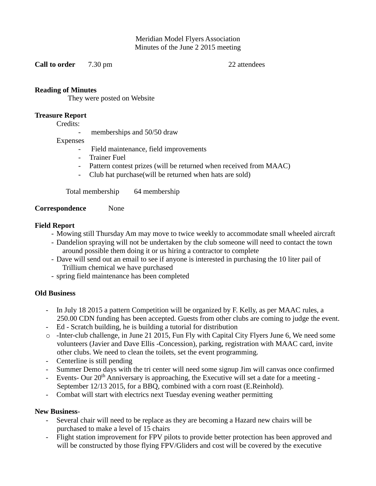Meridian Model Flyers Association Minutes of the June 2 2015 meeting

**Call to order** 7.30 pm 22 attendees

## **Reading of Minutes**

They were posted on Website

### **Treasure Report**

Credits:

memberships and 50/50 draw

## Expenses

- Field maintenance, field improvements
- Trainer Fuel
- Pattern contest prizes (will be returned when received from MAAC)
- Club hat purchase(will be returned when hats are sold)

Total membership 64 membership

#### **Correspondence** None

## **Field Report**

- Mowing still Thursday Am may move to twice weekly to accommodate small wheeled aircraft
- Dandelion spraying will not be undertaken by the club someone will need to contact the town around possible them doing it or us hiring a contractor to complete
- Dave will send out an email to see if anyone is interested in purchasing the 10 liter pail of Trillium chemical we have purchased
- spring field maintenance has been completed

# **Old Business**

- In July 18 2015 a pattern Competition will be organized by F. Kelly, as per MAAC rules, a 250.00 CDN funding has been accepted. Guests from other clubs are coming to judge the event.
- Ed Scratch building, he is building a tutorial for distribution
- o -Inter-club challenge, in June 21 2015, Fun Fly with Capital City Flyers June 6, We need some volunteers (Javier and Dave Ellis -Concession), parking, registration with MAAC card, invite other clubs. We need to clean the toilets, set the event programming.
- Centerline is still pending
- Summer Demo days with the tri center will need some signup Jim will canvas once confirmed
- Events- Our 20<sup>th</sup> Anniversary is approaching, the Executive will set a date for a meeting -September 12/13 2015, for a BBQ, combined with a corn roast (E.Reinhold).
- Combat will start with electrics next Tuesday evening weather permitting

# **New Business**-

- Several chair will need to be replace as they are becoming a Hazard new chairs will be purchased to make a level of 15 chairs
- Flight station improvement for FPV pilots to provide better protection has been approved and will be constructed by those flying FPV/Gliders and cost will be covered by the executive